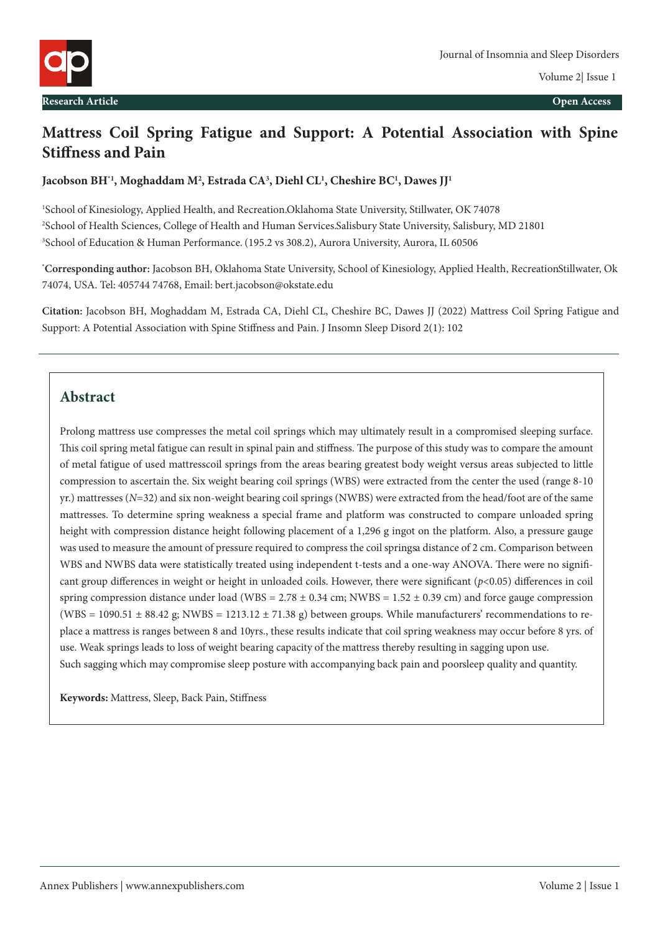

# **Mattress Coil Spring Fatigue and Support: A Potential Association with Spine Stiffness and Pain**

#### **Jacobson BH\*1, Moghaddam M2 , Estrada CA3 , Diehl CL1 , Cheshire BC1 , Dawes JJ1**

1 School of Kinesiology, Applied Health, and Recreation. Oklahoma State University, Stillwater, OK 74078 2 School of Health Sciences, College of Health and Human Services. Salisbury State University, Salisbury, MD 21801 3 School of Education & Human Performance. (195.2 vs 308.2), Aurora University, Aurora, IL 60506

**\* Corresponding author:** Jacobson BH, Oklahoma State University, School of Kinesiology, Applied Health, Recreation Stillwater, Ok 74074, USA. Tel: 405744 74768, Email: bert.jacobson@okstate.edu

**Citation:** Jacobson BH, Moghaddam M, Estrada CA, Diehl CL, Cheshire BC, Dawes JJ (2022) Mattress Coil Spring Fatigue and Support: A Potential Association with Spine Stiffness and Pain. J Insomn Sleep Disord 2(1): 102

### **Abstract**

Prolong mattress use compresses the metal coil springs which may ultimately result in a compromised sleeping surface. This coil spring metal fatigue can result in spinal pain and stiffness. The purpose of this study was to compare the amount of metal fatigue of used mattress coil springs from the areas bearing greatest body weight versus areas subjected to little compression to ascertain the. Six weight bearing coil springs (WBS) were extracted from the center the used (range 8-10 yr.) mattresses (*N*=32) and six non-weight bearing coil springs (NWBS) were extracted from the head/foot are of the same mattresses. To determine spring weakness a special frame and platform was constructed to compare unloaded spring height with compression distance height following placement of a 1,296 g ingot on the platform. Also, a pressure gauge was used to measure the amount of pressure required to compress the coil springs a distance of 2 cm. Comparison between WBS and NWBS data were statistically treated using independent t-tests and a one-way ANOVA. There were no significant group differences in weight or height in unloaded coils. However, there were significant (*p*<0.05) differences in coil spring compression distance under load (WBS =  $2.78 \pm 0.34$  cm; NWBS =  $1.52 \pm 0.39$  cm) and force gauge compression (WBS = 1090.51  $\pm$  88.42 g; NWBS = 1213.12  $\pm$  71.38 g) between groups. While manufacturers' recommendations to replace a mattress is ranges between 8 and 10 yrs., these results indicate that coil spring weakness may occur before 8 yrs. of use. Weak springs leads to loss of weight bearing capacity of the mattress thereby resulting in sagging upon use. Such sagging which may compromise sleep posture with accompanying back pain and poorsleep quality and quantity.

**Keywords:** Mattress, Sleep, Back Pain, Stiffness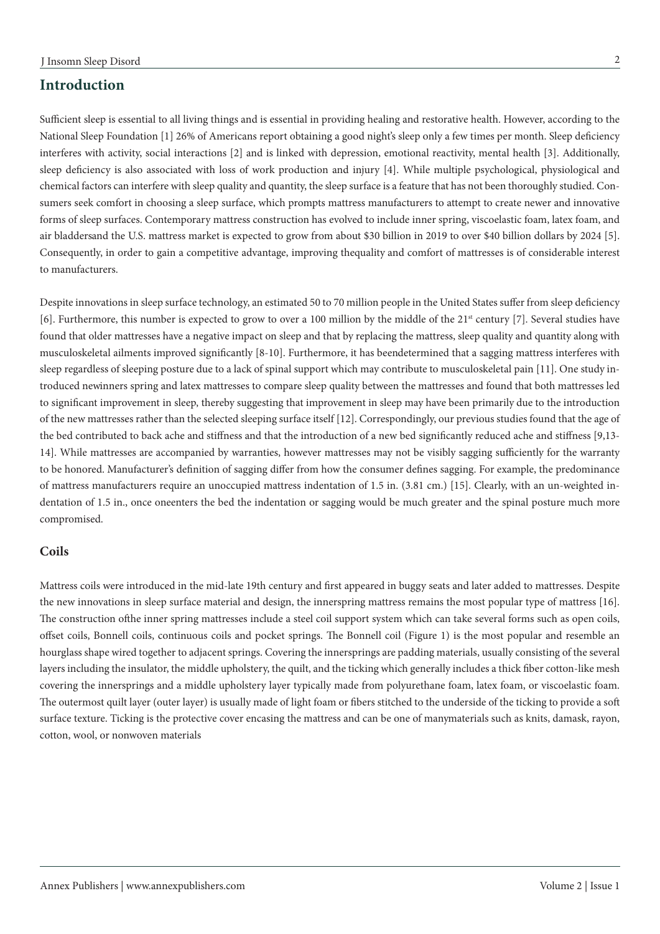### **Introduction**

Sufficient sleep is essential to all living things and is essential in providing healing and restorative health. However, according to the National Sleep Foundation [1] 26% of Americans report obtaining a good night's sleep only a few times per month. Sleep deficiency interferes with activity, social interactions [2] and is linked with depression, emotional reactivity, mental health [3]. Additionally, sleep deficiency is also associated with loss of work production and injury [4]. While multiple psychological, physiological and chemical factors can interfere with sleep quality and quantity, the sleep surface is a feature that has not been thoroughly studied. Consumers seek comfort in choosing a sleep surface, which prompts mattress manufacturers to attempt to create newer and innovative forms of sleep surfaces. Contemporary mattress construction has evolved to include inner spring, viscoelastic foam, latex foam, and air bladdersand the U.S. mattress market is expected to grow from about \$30 billion in 2019 to over \$40 billion dollars by 2024 [5]. Consequently, in order to gain a competitive advantage, improving the quality and comfort of mattresses is of considerable interest to manufacturers.

Despite innovations in sleep surface technology, an estimated 50 to 70 million people in the United States suffer from sleep deficiency [6]. Furthermore, this number is expected to grow to over a 100 million by the middle of the 21<sup>st</sup> century [7]. Several studies have found that older mattresses have a negative impact on sleep and that by replacing the mattress, sleep quality and quantity along with musculoskeletal ailments improved significantly [8-10]. Furthermore, it has been determined that a sagging mattress interferes with sleep regardless of sleeping posture due to a lack of spinal support which may contribute to musculoskeletal pain [11]. One study introduced new inners spring and latex mattresses to compare sleep quality between the mattresses and found that both mattresses led to significant improvement in sleep, thereby suggesting that improvement in sleep may have been primarily due to the introduction of the new mattresses rather than the selected sleeping surface itself [12]. Correspondingly, our previous studies found that the age of the bed contributed to back ache and stiffness and that the introduction of a new bed significantly reduced ache and stiffness [9,13- 14]. While mattresses are accompanied by warranties, however mattresses may not be visibly sagging sufficiently for the warranty to be honored. Manufacturer's definition of sagging differ from how the consumer defines sagging. For example, the predominance of mattress manufacturers require an unoccupied mattress indentation of 1.5 in. (3.81 cm.) [15]. Clearly, with an un-weighted indentation of 1.5 in., once oneenters the bed the indentation or sagging would be much greater and the spinal posture much more compromised.

#### **Coils**

Mattress coils were introduced in the mid-late 19th century and first appeared in buggy seats and later added to mattresses. Despite the new innovations in sleep surface material and design, the innerspring mattress remains the most popular type of mattress [16]. The construction of the inner spring mattresses include a steel coil support system which can take several forms such as open coils, offset coils, Bonnell coils, continuous coils and pocket springs. The Bonnell coil (Figure 1) is the most popular and resemble an hourglass shape wired together to adjacent springs. Covering the innersprings are padding materials, usually consisting of the several layers including the insulator, the middle upholstery, the quilt, and the ticking which generally includes a thick fiber cotton-like mesh covering the innersprings and a middle upholstery layer typically made from polyurethane foam, latex foam, or viscoelastic foam. The outermost quilt layer (outer layer) is usually made of light foam or fibers stitched to the underside of the ticking to provide a soft surface texture. Ticking is the protective cover encasing the mattress and can be one of manymaterials such as knits, damask, rayon, cotton, wool, or nonwoven materials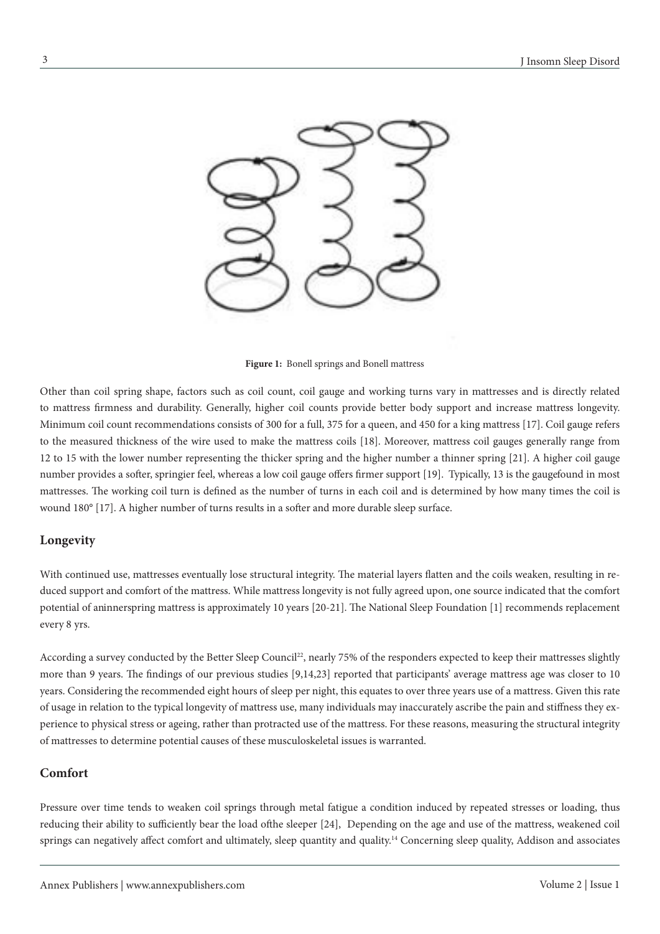

**Figure 1:** Bonell springs and Bonell mattress

Other than coil spring shape, factors such as coil count, coil gauge and working turns vary in mattresses and is directly related to mattress firmness and durability. Generally, higher coil counts provide better body support and increase mattress longevity. Minimum coil count recommendations consists of 300 for a full, 375 for a queen, and 450 for a king mattress [17]. Coil gauge refers to the measured thickness of the wire used to make the mattress coils [18]. Moreover, mattress coil gauges generally range from 12 to 15 with the lower number representing the thicker spring and the higher number a thinner spring [21]. A higher coil gauge number provides a softer, springier feel, whereas a low coil gauge offers firmer support [19]. Typically, 13 is the gauge found in most mattresses. The working coil turn is defined as the number of turns in each coil and is determined by how many times the coil is wound 180° [17]. A higher number of turns results in a softer and more durable sleep surface.

#### **Longevity**

With continued use, mattresses eventually lose structural integrity. The material layers flatten and the coils weaken, resulting in reduced support and comfort of the mattress. While mattress longevity is not fully agreed upon, one source indicated that the comfort potential of aninnerspring mattress is approximately 10 years [20-21]. The National Sleep Foundation [1] recommends replacement every 8 yrs.

According a survey conducted by the Better Sleep Council<sup>22</sup>, nearly 75% of the responders expected to keep their mattresses slightly more than 9 years. The findings of our previous studies [9,14,23] reported that participants' average mattress age was closer to 10 years. Considering the recommended eight hours of sleep per night, this equates to over three years use of a mattress. Given this rate of usage in relation to the typical longevity of mattress use, many individuals may inaccurately ascribe the pain and stiffness they experience to physical stress or ageing, rather than protracted use of the mattress. For these reasons, measuring the structural integrity of mattresses to determine potential causes of these musculoskeletal issues is warranted.

#### **Comfort**

Pressure over time tends to weaken coil springs through metal fatigue a condition induced by repeated stresses or loading, thus reducing their ability to sufficiently bear the load of the sleeper [24], Depending on the age and use of the mattress, weakened coil springs can negatively affect comfort and ultimately, sleep quantity and quality.<sup>14</sup> Concerning sleep quality, Addison and associates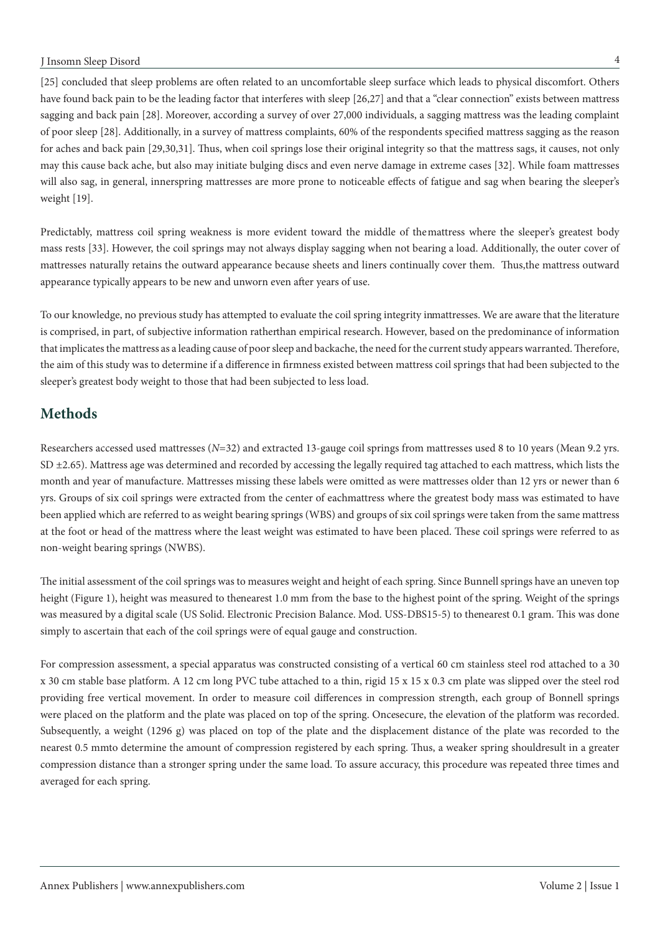#### J Insomn Sleep Disord

[25] concluded that sleep problems are often related to an uncomfortable sleep surface which leads to physical discomfort. Others have found back pain to be the leading factor that interferes with sleep [26,27] and that a "clear connection" exists between mattress sagging and back pain [28]. Moreover, according a survey of over 27,000 individuals, a sagging mattress was the leading complaint of poor sleep [28]. Additionally, in a survey of mattress complaints, 60% of the respondents specified mattress sagging as the reason for aches and back pain [29,30,31]. Thus, when coil springs lose their original integrity so that the mattress sags, it causes, not only may this cause back ache, but also may initiate bulging discs and even nerve damage in extreme cases [32]. While foam mattresses will also sag, in general, innerspring mattresses are more prone to noticeable effects of fatigue and sag when bearing the sleeper's weight [19].

Predictably, mattress coil spring weakness is more evident toward the middle of the mattress where the sleeper's greatest body mass rests [33]. However, the coil springs may not always display sagging when not bearing a load. Additionally, the outer cover of mattresses naturally retains the outward appearance because sheets and liners continually cover them. Thus, the mattress outward appearance typically appears to be new and unworn even after years of use.

To our knowledge, no previous study has attempted to evaluate the coil spring integrity inmattresses. We are aware that the literature is comprised, in part, of subjective information rather than empirical research. However, based on the predominance of information that implicates the mattress as a leading cause of poor sleep and backache, the need for the current study appears warranted. Therefore, the aim of this study was to determine if a difference in firmness existed between mattress coil springs that had been subjected to the sleeper's greatest body weight to those that had been subjected to less load.

### **Methods**

Researchers accessed used mattresses (*N*=32) and extracted 13-gauge coil springs from mattresses used 8 to 10 years (Mean 9.2 yrs. SD  $\pm$ 2.65). Mattress age was determined and recorded by accessing the legally required tag attached to each mattress, which lists the month and year of manufacture. Mattresses missing these labels were omitted as were mattresses older than 12 yrs or newer than 6 yrs. Groups of six coil springs were extracted from the center of eachmattress where the greatest body mass was estimated to have been applied which are referred to as weight bearing springs (WBS) and groups of six coil springs were taken from the same mattress at the foot or head of the mattress where the least weight was estimated to have been placed. These coil springs were referred to as non-weight bearing springs (NWBS).

The initial assessment of the coil springs was to measures weight and height of each spring. Since Bunnell springs have an uneven top height (Figure 1), height was measured to the nearest 1.0 mm from the base to the highest point of the spring. Weight of the springs was measured by a digital scale (US Solid. Electronic Precision Balance. Mod. USS-DBS15-5) to the nearest 0.1 gram. This was done simply to ascertain that each of the coil springs were of equal gauge and construction.

For compression assessment, a special apparatus was constructed consisting of a vertical 60 cm stainless steel rod attached to a 30 x 30 cm stable base platform. A 12 cm long PVC tube attached to a thin, rigid 15 x 15 x 0.3 cm plate was slipped over the steel rod providing free vertical movement. In order to measure coil differences in compression strength, each group of Bonnell springs were placed on the platform and the plate was placed on top of the spring. Once secure, the elevation of the platform was recorded. Subsequently, a weight (1296 g) was placed on top of the plate and the displacement distance of the plate was recorded to the nearest 0.5 mm to determine the amount of compression registered by each spring. Thus, a weaker spring should result in a greater compression distance than a stronger spring under the same load. To assure accuracy, this procedure was repeated three times and averaged for each spring.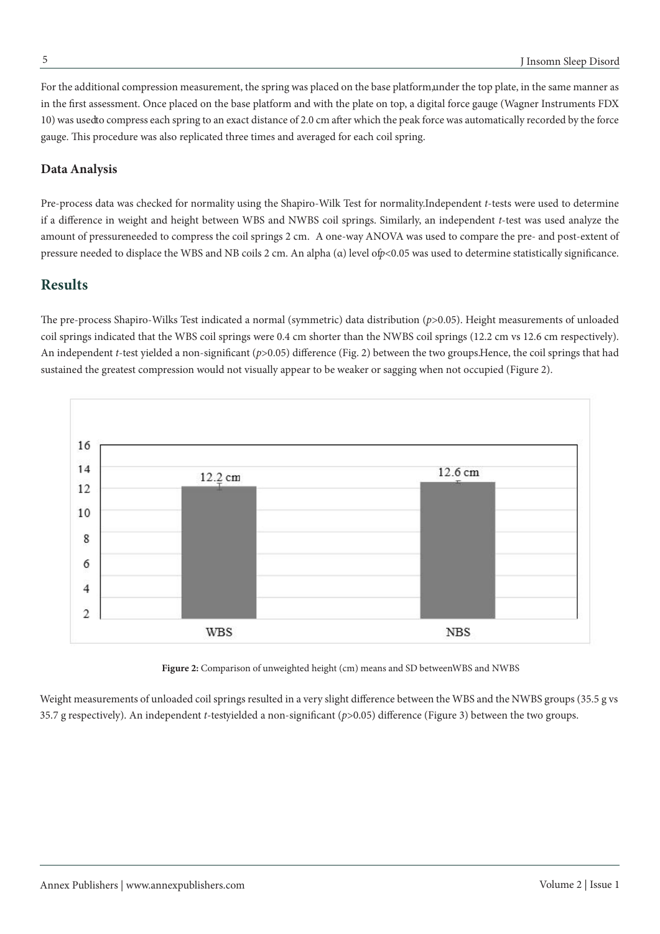For the additional compression measurement, the spring was placed on the base platform, under the top plate, in the same manner as in the first assessment. Once placed on the base platform and with the plate on top, a digital force gauge (Wagner Instruments FDX 10) was used to compress each spring to an exact distance of 2.0 cm after which the peak force was automatically recorded by the force gauge. This procedure was also replicated three times and averaged for each coil spring.

#### **Data Analysis**

Pre-process data was checked for normality using the Shapiro-Wilk Test for normality. Independent *t*-tests were used to determine if a difference in weight and height between WBS and NWBS coil springs. Similarly, an independent *t*-test was used analyze the amount of pressureneeded to compress the coil springs 2 cm. A one-way ANOVA was used to compare the pre- and post-extent of pressure needed to displace the WBS and NB coils 2 cm. An alpha (α) level of *p*<0.05 was used to determine statistically significance.

### **Results**

The pre-process Shapiro-Wilks Test indicated a normal (symmetric) data distribution (*p*>0.05). Height measurements of unloaded coil springs indicated that the WBS coil springs were 0.4 cm shorter than the NWBS coil springs (12.2 cm vs 12.6 cm respectively). An independent *t*-test yielded a non-significant (*p*>0.05) difference (Fig. 2) between the two groups. Hence, the coil springs that had sustained the greatest compression would not visually appear to be weaker or sagging when not occupied (Figure 2).





Weight measurements of unloaded coil springs resulted in a very slight difference between the WBS and the NWBS groups (35.5 g vs 35.7 g respectively). An independent *t*-testyielded a non-significant ( $p$ >0.05) difference (Figure 3) between the two groups.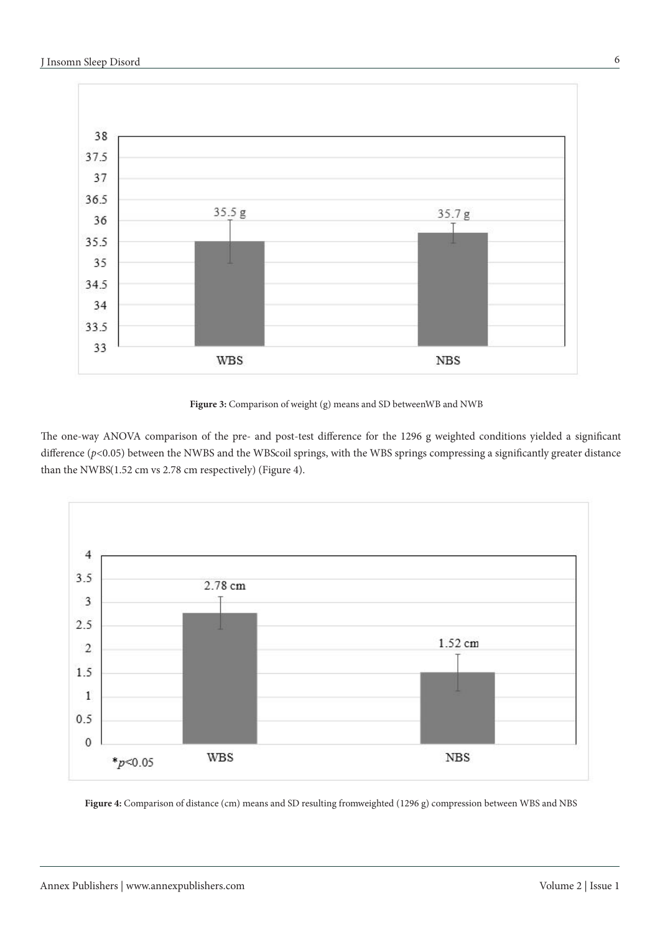

Figure 3: Comparison of weight (g) means and SD between WB and NWB

The one-way ANOVA comparison of the pre- and post-test difference for the 1296 g weighted conditions yielded a significant difference ( $p$ <0.05) between the NWBS and the WBScoil springs, with the WBS springs compressing a significantly greater distance than the NWBS(1.52 cm vs 2.78 cm respectively) (Figure 4).



Figure 4: Comparison of distance (cm) means and SD resulting fromweighted (1296 g) compression between WBS and NBS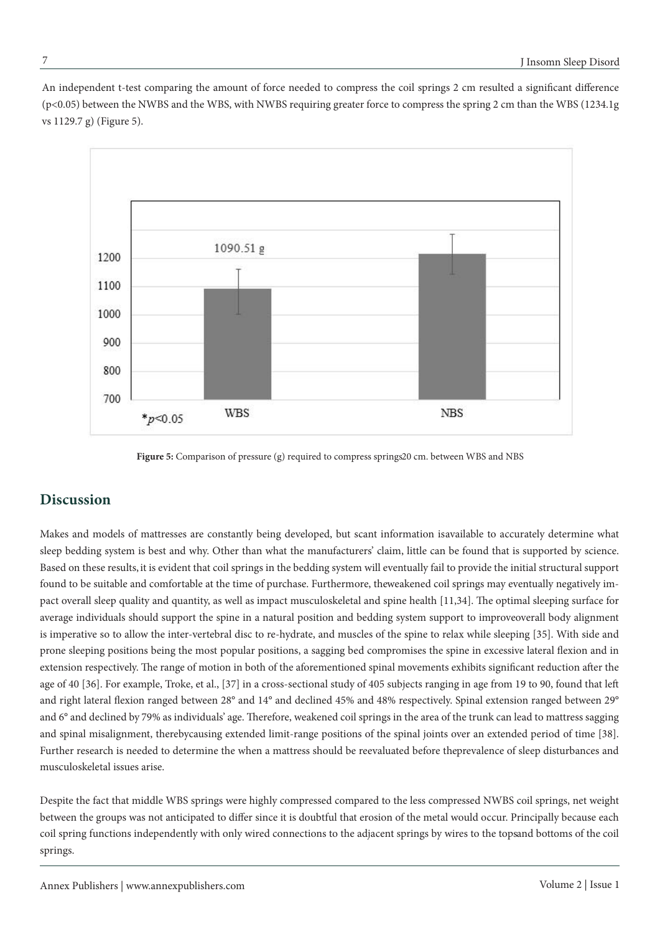An independent t-test comparing the amount of force needed to compress the coil springs 2 cm resulted a significant difference (p<0.05) between the NWBS and the WBS, with NWBS requiring greater force to compress the spring 2 cm than the WBS (1234.1g vs 1129.7 g) (Figure 5).



Figure 5: Comparison of pressure (g) required to compress springs 20 cm. between WBS and NBS

### **Discussion**

Makes and models of mattresses are constantly being developed, but scant information is available to accurately determine what sleep bedding system is best and why. Other than what the manufacturers' claim, little can be found that is supported by science. Based on these results, it is evident that coil springs in the bedding system will eventually fail to provide the initial structural support found to be suitable and comfortable at the time of purchase. Furthermore, the weakened coil springs may eventually negatively impact overall sleep quality and quantity, as well as impact musculoskeletal and spine health [11,34]. The optimal sleeping surface for average individuals should support the spine in a natural position and bedding system support to improveoverall body alignment is imperative so to allow the inter-vertebral disc to re-hydrate, and muscles of the spine to relax while sleeping [35]. With side and prone sleeping positions being the most popular positions, a sagging bed compromises the spine in excessive lateral flexion and in extension respectively. The range of motion in both of the aforementioned spinal movements exhibits significant reduction after the age of 40 [36]. For example, Troke, et al., [37] in a cross-sectional study of 405 subjects ranging in age from 19 to 90, found that left and right lateral flexion ranged between 28° and 14° and declined 45% and 48% respectively. Spinal extension ranged between 29° and 6° and declined by 79% as individuals' age. Therefore, weakened coil springs in the area of the trunk can lead to mattress sagging and spinal misalignment, thereby causing extended limit-range positions of the spinal joints over an extended period of time [38]. Further research is needed to determine the when a mattress should be reevaluated before the prevalence of sleep disturbances and musculoskeletal issues arise.

Despite the fact that middle WBS springs were highly compressed compared to the less compressed NWBS coil springs, net weight between the groups was not anticipated to differ since it is doubtful that erosion of the metal would occur. Principally because each coil spring functions independently with only wired connections to the adjacent springs by wires to the topsand bottoms of the coil springs.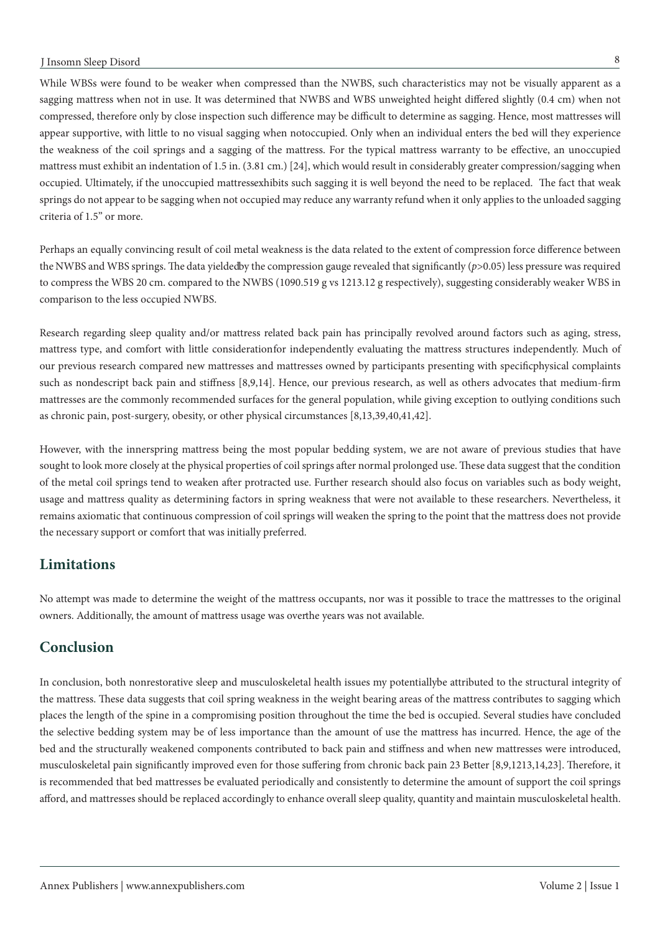While WBSs were found to be weaker when compressed than the NWBS, such characteristics may not be visually apparent as a sagging mattress when not in use. It was determined that NWBS and WBS unweighted height differed slightly (0.4 cm) when not compressed, therefore only by close inspection such difference may be difficult to determine as sagging. Hence, most mattresses will appear supportive, with little to no visual sagging when notoccupied. Only when an individual enters the bed will they experience the weakness of the coil springs and a sagging of the mattress. For the typical mattress warranty to be effective, an unoccupied mattress must exhibit an indentation of 1.5 in. (3.81 cm.) [24], which would result in considerably greater compression/sagging when occupied. Ultimately, if the unoccupied mattressexhibits such sagging it is well beyond the need to be replaced. The fact that weak springs do not appear to be sagging when not occupied may reduce any warranty refund when it only applies to the unloaded sagging criteria of 1.5" or more.

Perhaps an equally convincing result of coil metal weakness is the data related to the extent of compression force difference between the NWBS and WBS springs. The data yieldedby the compression gauge revealed that significantly (*p*>0.05) less pressure was required to compress the WBS 20 cm. compared to the NWBS (1090.519 g vs 1213.12 g respectively), suggesting considerably weaker WBS in comparison to the less occupied NWBS.

Research regarding sleep quality and/or mattress related back pain has principally revolved around factors such as aging, stress, mattress type, and comfort with little consideration for independently evaluating the mattress structures independently. Much of our previous research compared new mattresses and mattresses owned by participants presenting with specific physical complaints such as nondescript back pain and stiffness [8,9,14]. Hence, our previous research, as well as others advocates that medium-firm mattresses are the commonly recommended surfaces for the general population, while giving exception to outlying conditions such as chronic pain, post-surgery, obesity, or other physical circumstances [8,13,39,40,41,42].

However, with the innerspring mattress being the most popular bedding system, we are not aware of previous studies that have sought to look more closely at the physical properties of coil springs after normal prolonged use. These data suggest that the condition of the metal coil springs tend to weaken after protracted use. Further research should also focus on variables such as body weight, usage and mattress quality as determining factors in spring weakness that were not available to these researchers. Nevertheless, it remains axiomatic that continuous compression of coil springs will weaken the spring to the point that the mattress does not provide the necessary support or comfort that was initially preferred.

## **Limitations**

No attempt was made to determine the weight of the mattress occupants, nor was it possible to trace the mattresses to the original owners. Additionally, the amount of mattress usage was overthe years was not available.

## **Conclusion**

In conclusion, both nonrestorative sleep and musculoskeletal health issues my potentially be attributed to the structural integrity of the mattress. These data suggests that coil spring weakness in the weight bearing areas of the mattress contributes to sagging which places the length of the spine in a compromising position throughout the time the bed is occupied. Several studies have concluded the selective bedding system may be of less importance than the amount of use the mattress has incurred. Hence, the age of the bed and the structurally weakened components contributed to back pain and stiffness and when new mattresses were introduced, musculoskeletal pain significantly improved even for those suffering from chronic back pain 23 Better [8,9,1213,14,23]. Therefore, it is recommended that bed mattresses be evaluated periodically and consistently to determine the amount of support the coil springs afford, and mattresses should be replaced accordingly to enhance overall sleep quality, quantity and maintain musculoskeletal health.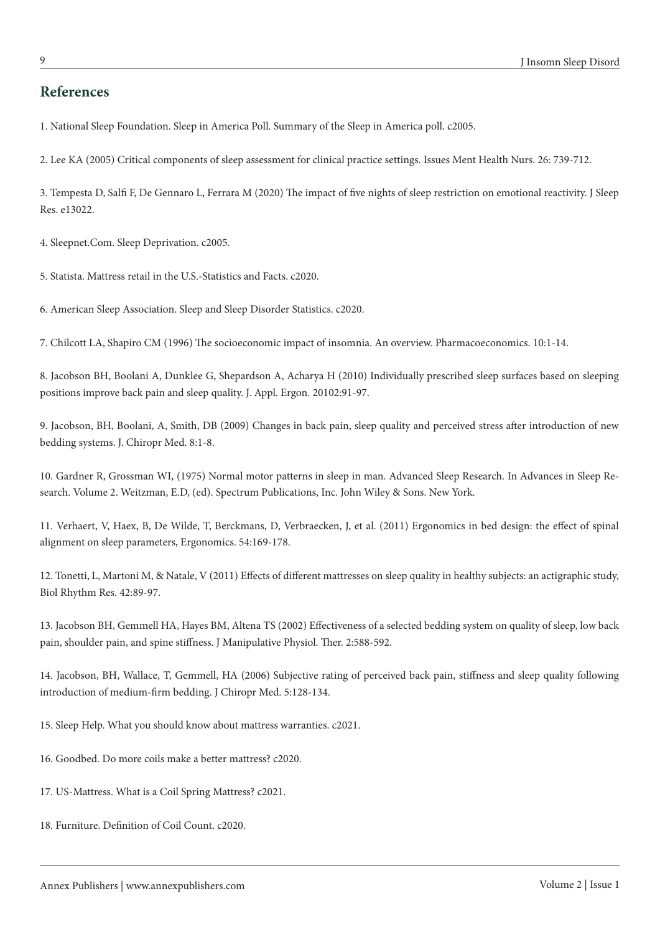### **References**

1. National Sleep Foundation. Sleep in America Poll. Summary of the Sleep in America poll. c2005.

2. Lee KA (2005) Critical components of sleep assessment for clinical practice settings. Issues Ment Health Nurs. 26: 739-712.

3. Tempesta D, Salfi F, De Gennaro L, Ferrara M (2020) The impact of five nights of sleep restriction on emotional reactivity. J Sleep Res. e13022.

4. Sleepnet.Com. Sleep Deprivation. c2005.

5. Statista. Mattress retail in the U.S.-Statistics and Facts. c2020.

6. American Sleep Association. Sleep and Sleep Disorder Statistics. c2020.

7. Chilcott LA, Shapiro CM (1996) The socioeconomic impact of insomnia. An overview. Pharmacoeconomics. 10:1-14.

8. Jacobson BH, Boolani A, Dunklee G, Shepardson A, Acharya H (2010) Individually prescribed sleep surfaces based on sleeping positions improve back pain and sleep quality. J. Appl. Ergon. 20102:91-97.

9. Jacobson, BH, Boolani, A, Smith, DB (2009) Changes in back pain, sleep quality and perceived stress after introduction of new bedding systems. J. Chiropr Med. 8:1-8.

10. Gardner R, Grossman WI, (1975) Normal motor patterns in sleep in man. Advanced Sleep Research. In Advances in Sleep Research. Volume 2. Weitzman, E.D, (ed). Spectrum Publications, Inc. John Wiley & Sons. New York.

11. Verhaert, V, Haex, B, De Wilde, T, Berckmans, D, Verbraecken, J, et al. (2011) Ergonomics in bed design: the effect of spinal alignment on sleep parameters, Ergonomics. 54:169-178.

12. Tonetti, L, Martoni M, & Natale, V (2011) Effects of different mattresses on sleep quality in healthy subjects: an actigraphic study, Biol Rhythm Res. 42:89-97.

13. Jacobson BH, Gemmell HA, Hayes BM, Altena TS (2002) Effectiveness of a selected bedding system on quality of sleep, low back pain, shoulder pain, and spine stiffness. J Manipulative Physiol. Ther. 2:588‐592.

14. Jacobson, BH, Wallace, T, Gemmell, HA (2006) Subjective rating of perceived back pain, stiffness and sleep quality following introduction of medium-firm bedding. J Chiropr Med. 5:128-134.

15. Sleep Help. What you should know about mattress warranties. c2021.

16. Goodbed. Do more coils make a better mattress? c2020.

- 17. US-Mattress. What is a Coil Spring Mattress? c2021.
- 18. Furniture. Definition of Coil Count. c2020.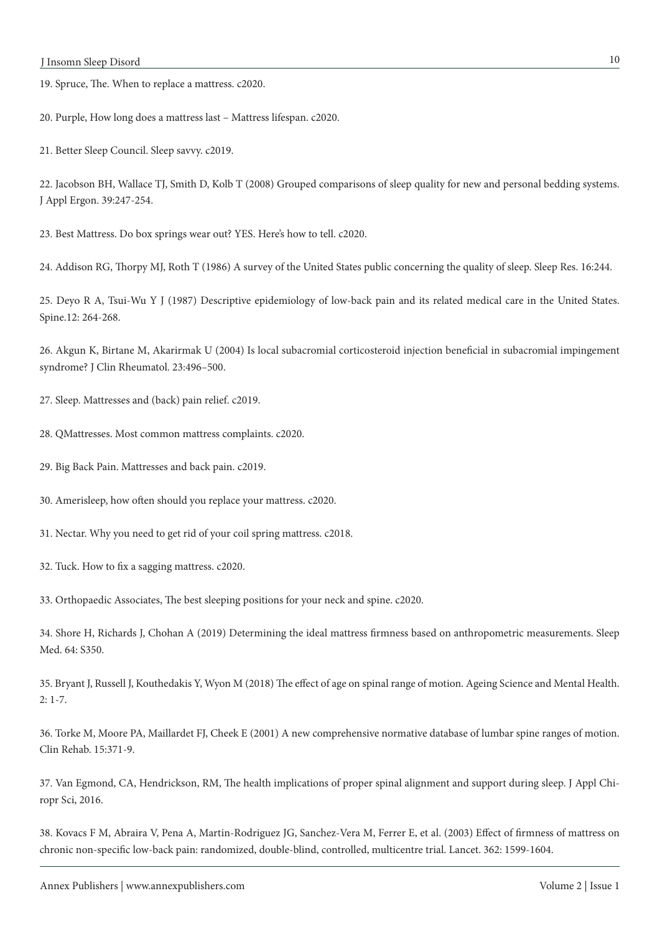19. Spruce, The. When to replace a mattress. c2020.

20. Purple, How long does a mattress last – Mattress lifespan. c2020.

21. Better Sleep Council. Sleep savvy. c2019.

22. Jacobson BH, Wallace TJ, Smith D, Kolb T (2008) Grouped comparisons of sleep quality for new and personal bedding systems. J Appl Ergon. 39:247-254.

23. Best Mattress. Do box springs wear out? YES. Here's how to tell. c2020.

24. Addison RG, Thorpy MJ, Roth T (1986) A survey of the United States public concerning the quality of sleep. Sleep Res. 16:244.

25. Deyo R A, Tsui-Wu Y J (1987) Descriptive epidemiology of low-back pain and its related medical care in the United States. Spine.12: 264-268.

26. Akgun K, Birtane M, Akarirmak U (2004) Is local subacromial corticosteroid injection beneficial in subacromial impingement syndrome? J Clin Rheumatol. 23:496–500.

27. Sleep. Mattresses and (back) pain relief. c2019.

- 28. QMattresses. Most common mattress complaints. c2020.
- 29. Big Back Pain. Mattresses and back pain. c2019.

30. Amerisleep, how often should you replace your mattress. c2020.

- 31. Nectar. Why you need to get rid of your coil spring mattress. c2018.
- 32. Tuck. How to fix a sagging mattress. c2020.

33. Orthopaedic Associates, The best sleeping positions for your neck and spine. c2020.

34. Shore H, Richards J, Chohan A (2019) Determining the ideal mattress firmness based on anthropometric measurements. Sleep Med. 64: S350.

35. Bryant J, Russell J, Kouthedakis Y, Wyon M (2018) The effect of age on spinal range of motion. Ageing Science and Mental Health. 2: 1-7.

36. Torke M, Moore PA, Maillardet FJ, Cheek E (2001) A new comprehensive normative database of lumbar spine ranges of motion. Clin Rehab. 15:371-9.

37. Van Egmond, CA, Hendrickson, RM, The health implications of proper spinal alignment and support during sleep. J Appl Chiropr Sci, 2016.

38. Kovacs F M, Abraira V, Pena A, Martin-Rodriguez JG, Sanchez-Vera M, Ferrer E, et al. (2003) Effect of firmness of mattress on chronic non-specific low-back pain: randomized, double-blind, controlled, multicentre trial. Lancet. 362: 1599-1604.